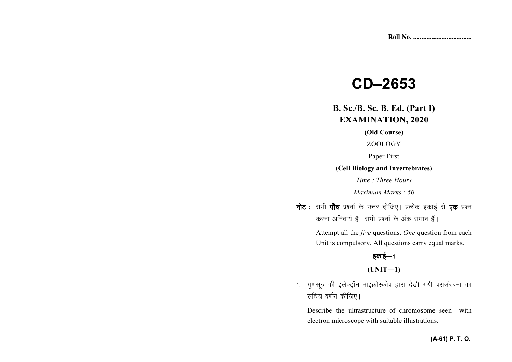# **CD–2653**

**B. Sc./B. Sc. B. Ed. (Part I) EXAMINATION, 2020**

**(Old Course)** 

ZOOLOGY

Paper First

**(Cell Biology and Invertebrates)** 

*Time : Three Hours* 

*Maximum Marks : 50*

**नोट** : सभी **पाँच** प्रश्नों के उत्तर दीजिए। प्रत्येक इकाई से **एक** प्रश्न *djuk vfuok;Z gSA lHkh iz'uksa d¢ vad leku gSaA* 

> Attempt all the *five* questions. *One* question from each Unit is compulsory. All questions carry equal marks.

# *bdkbZ*&*<sup>1</sup>*

### **(UNIT—1)**

1. गुणसूत्र की इलेक्ट्रॉन माइक्रोस्कोप द्वारा देखी गयी परासंरचना का *सचित्र वर्णन कीजिए*।

Describe the ultrastructure of chromosome seen with electron microscope with suitable illustrations.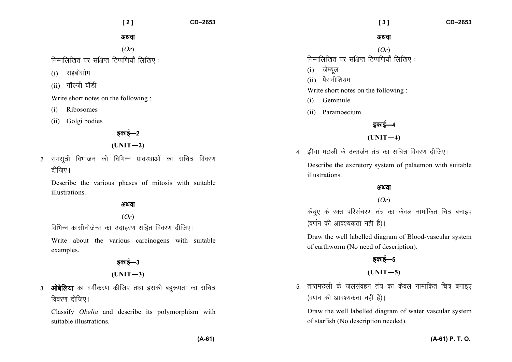**[ 2 ] CD–2653** 

अथवा

(*Or*) *fuEufyf[kr ij laf{kIr fVIif.k;k¡ fyf[k, %* 

- (i) राइबोसोम
- (ii) गॉल्जी बॉडी

Write short notes on the following :

- (i) Ribosomes
- (ii) Golgi bodies

### **Ban**g<sup>1</sup>

**(UNIT—2)** 

*2- lelw=h foHkktu dh fofHkUu izkOkLFkkvksa dk lfp= fooj.k* <u>दीजिए।</u>

Describe the various phases of mitosis with suitable illustrations.

#### अथवा

(*Or*)

*fofHkUu dklhZukstsUl dk mnkgj.k lfgr fooj.k nhft,A* 

Write about the various carcinogens with suitable examples.

> *bdkbZ*&*<sup>3</sup>***(UNIT—3)**

3. **ओबेलिया** का वर्गीकरण कीजिए तथा इसकी बहरूपता का सचित्र *fdavu दीजिए।* 

Classify *Obelia* and describe its polymorphism with suitable illustrations.

#### अथवा

(*Or*) *fuEufyf[kr ij laf{kIr fVIif.k;k¡ fyf[k, %* 

- (i) *tsE;wy*
- (ii) पैरामीशियम

Write short notes on the following :

- (i) Gemmule
- (ii) Paramoecium

# *bdkbZ*&*<sup>4</sup>*

### **(UNIT—4)**

- <u>4 - झींगा मछली के उत्सर्जन तंत्र का सचित्र विवरण दीजिए।</u> Describe the excretory system of palaemon with suitable illustrations.

### अथवा

### (*Or*)

*dsapq, ds jDr ifjlapj.k ra= dk dsoy ukekafdr fp= cukb, (*वर्णन की आवश्यकता नही है)।

Draw the well labelled diagram of Blood-vascular system of earthworm (No need of description).

# *sकाई—5*

## **(UNIT—5)**

*5- rkjkeNyh ds tylaogu ra= dk dsoy ukekafdr fp= cukb, (*वर्णन की आवश्यकता नहीं है)।

Draw the well labelled diagram of water vascular system of starfish (No description needed).